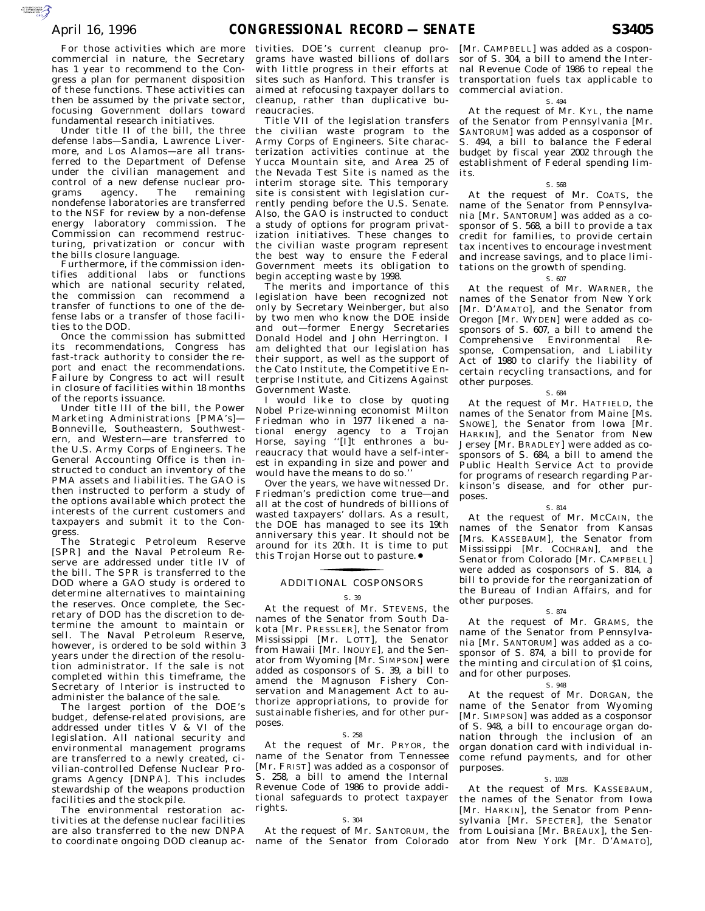$\mathcal{F}$ 

For those activities which are more commercial in nature, the Secretary has 1 year to recommend to the Congress a plan for permanent disposition of these functions. These activities can then be assumed by the private sector, focusing Government dollars toward fundamental research initiatives.

Under title II of the bill, the three defense labs—Sandia, Lawrence Livermore, and Los Alamos—are all transferred to the Department of Defense under the civilian management and control of a new defense nuclear pro-<br>grams agency. The remaining grams agency. nondefense laboratories are transferred to the NSF for review by a non-defense energy laboratory commission. The Commission can recommend restructuring, privatization or concur with the bills closure language.

Furthermore, if the commission identifies additional labs or functions which are national security related, the commission can recommend a transfer of functions to one of the defense labs or a transfer of those facilities to the DOD.

Once the commission has submitted its recommendations, Congress has fast-track authority to consider the report and enact the recommendations. Failure by Congress to act will result in closure of facilities within 18 months of the reports issuance.

Under title III of the bill, the Power Marketing Administrations [PMA's]— Bonneville, Southeastern, Southwestern, and Western—are transferred to the U.S. Army Corps of Engineers. The General Accounting Office is then instructed to conduct an inventory of the PMA assets and liabilities. The GAO is then instructed to perform a study of the options available which protect the interests of the current customers and taxpayers and submit it to the Congress.

The Strategic Petroleum Reserve [SPR] and the Naval Petroleum Reserve are addressed under title IV of the bill. The SPR is transferred to the DOD where a GAO study is ordered to determine alternatives to maintaining the reserves. Once complete, the Secretary of DOD has the discretion to determine the amount to maintain or sell. The Naval Petroleum Reserve, however, is ordered to be sold within 3 years under the direction of the resolution administrator. If the sale is not completed within this timeframe, the Secretary of Interior is instructed to administer the balance of the sale.

The largest portion of the DOE's budget, defense-related provisions, are addressed under titles V & VI of the legislation. All national security and environmental management programs are transferred to a newly created, civilian-controlled Defense Nuclear Programs Agency [DNPA]. This includes stewardship of the weapons production facilities and the stockpile.

The environmental restoration activities at the defense nuclear facilities are also transferred to the new DNPA to coordinate ongoing DOD cleanup ac-

tivities. DOE's current cleanup programs have wasted billions of dollars with little progress in their efforts at sites such as Hanford. This transfer is aimed at refocusing taxpayer dollars to cleanup, rather than duplicative bureaucracies.

Title VII of the legislation transfers the civilian waste program to the Army Corps of Engineers. Site characterization activities continue at the Yucca Mountain site, and Area 25 of the Nevada Test Site is named as the interim storage site. This temporary site is consistent with legislation currently pending before the U.S. Senate. Also, the GAO is instructed to conduct a study of options for program privatization initiatives. These changes to the civilian waste program represent the best way to ensure the Federal Government meets its obligation to begin accepting waste by 1998.

The merits and importance of this legislation have been recognized not only by Secretary Weinberger, but also by two men who know the DOE inside and out—former Energy Secretaries Donald Hodel and John Herrington. I am delighted that our legislation has their support, as well as the support of the Cato Institute, the Competitive Enterprise Institute, and Citizens Against Government Waste.

I would like to close by quoting Nobel Prize-winning economist Milton Friedman who in 1977 likened a national energy agency to a Trojan Horse, saying ''[I]t enthrones a bureaucracy that would have a self-interest in expanding in size and power and would have the means to do so.''

Over the years, we have witnessed Dr. Friedman's prediction come true—and all at the cost of hundreds of billions of wasted taxpayers' dollars. As a result, the DOE has managed to see its 19th anniversary this year. It should not be around for its 20th. It is time to put this Trojan Horse out to pasture.●

# ADDITIONAL COSPONSORS

# S. 39

At the request of Mr. STEVENS, the names of the Senator from South Dakota [Mr. PRESSLER], the Senator from Mississippi [Mr. LOTT], the Senator from Hawaii [Mr. INOUYE], and the Senator from Wyoming [Mr. SIMPSON] were added as cosponsors of S. 39, a bill to amend the Magnuson Fishery Conservation and Management Act to authorize appropriations, to provide for sustainable fisheries, and for other purposes.

## S. 258

At the request of Mr. PRYOR, the name of the Senator from Tennessee [Mr. FRIST] was added as a cosponsor of S. 258, a bill to amend the Internal Revenue Code of 1986 to provide additional safeguards to protect taxpayer rights.

#### S. 304

At the request of Mr. SANTORUM, the name of the Senator from Colorado

[Mr. CAMPBELL] was added as a cosponsor of S. 304, a bill to amend the Internal Revenue Code of 1986 to repeal the transportation fuels tax applicable to commercial aviation.

# S. 494

At the request of Mr. KYL, the name of the Senator from Pennsylvania [Mr. SANTORUM] was added as a cosponsor of S. 494, a bill to balance the Federal budget by fiscal year 2002 through the establishment of Federal spending limits.

# S. 568

At the request of Mr. COATS, the name of the Senator from Pennsylvania [Mr. SANTORUM] was added as a cosponsor of S. 568, a bill to provide a tax credit for families, to provide certain tax incentives to encourage investment and increase savings, and to place limitations on the growth of spending.

## S. 607

At the request of Mr. WARNER, the names of the Senator from New York [Mr. D'AMATO], and the Senator from Oregon [Mr. WYDEN] were added as cosponsors of S. 607, a bill to amend the Comprehensive Environmental Response, Compensation, and Liability Act of 1980 to clarify the liability of certain recycling transactions, and for other purposes.

### S. 684

At the request of Mr. HATFIELD, the names of the Senator from Maine [Ms. SNOWE], the Senator from Iowa [Mr. HARKIN], and the Senator from New Jersey [Mr. BRADLEY] were added as cosponsors of S. 684, a bill to amend the Public Health Service Act to provide for programs of research regarding Parkinson's disease, and for other purposes.

### S. 814

At the request of Mr. MCCAIN, the names of the Senator from Kansas [Mrs. KASSEBAUM], the Senator from Mississippi [Mr. COCHRAN], and the Senator from Colorado [Mr. CAMPBELL] were added as cosponsors of S. 814, a bill to provide for the reorganization of the Bureau of Indian Affairs, and for other purposes.

#### S. 874

At the request of Mr. GRAMS, the name of the Senator from Pennsylvania [Mr. SANTORUM] was added as a cosponsor of S. 874, a bill to provide for the minting and circulation of \$1 coins, and for other purposes.

#### S. 948

At the request of Mr. DORGAN, the name of the Senator from Wyoming [Mr. SIMPSON] was added as a cosponsor of S. 948, a bill to encourage organ donation through the inclusion of an organ donation card with individual income refund payments, and for other purposes.

#### S. 1028

At the request of Mrs. KASSEBAUM, the names of the Senator from Iowa [Mr. HARKIN], the Senator from Pennsylvania [Mr. SPECTER], the Senator from Louisiana [Mr. BREAUX], the Senator from New York [Mr. D'AMATO],